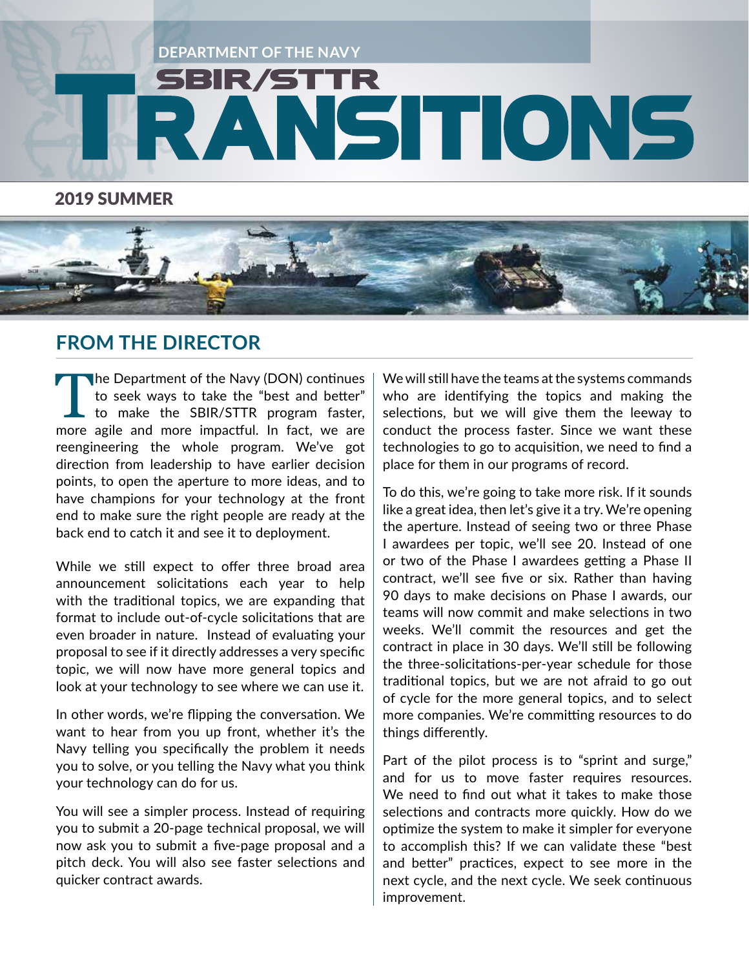

2019 SUMMER



## **FROM THE DIRECTOR**

The Department of the Navy (DON) continues<br>to seek ways to take the "best and better"<br>to make the SBIR/STTR program faster,<br>more agile and more impactful In fact, we are to seek ways to take the "best and better" to make the SBIR/STTR program faster, more agile and more impactful. In fact, we are reengineering the whole program. We've got direction from leadership to have earlier decision points, to open the aperture to more ideas, and to have champions for your technology at the front end to make sure the right people are ready at the back end to catch it and see it to deployment.

While we still expect to offer three broad area announcement solicitations each year to help with the traditional topics, we are expanding that format to include out-of-cycle solicitations that are even broader in nature. Instead of evaluating your proposal to see if it directly addresses a very specific topic, we will now have more general topics and look at your technology to see where we can use it.

In other words, we're flipping the conversation. We want to hear from you up front, whether it's the Navy telling you specifically the problem it needs you to solve, or you telling the Navy what you think your technology can do for us.

You will see a simpler process. Instead of requiring you to submit a 20-page technical proposal, we will now ask you to submit a five-page proposal and a pitch deck. You will also see faster selections and quicker contract awards.

We will still have the teams at the systems commands who are identifying the topics and making the selections, but we will give them the leeway to conduct the process faster. Since we want these technologies to go to acquisition, we need to find a place for them in our programs of record.

To do this, we're going to take more risk. If it sounds like a great idea, then let's give it a try. We're opening the aperture. Instead of seeing two or three Phase I awardees per topic, we'll see 20. Instead of one or two of the Phase I awardees getting a Phase II contract, we'll see five or six. Rather than having 90 days to make decisions on Phase I awards, our teams will now commit and make selections in two weeks. We'll commit the resources and get the contract in place in 30 days. We'll still be following the three-solicitations-per-year schedule for those traditional topics, but we are not afraid to go out of cycle for the more general topics, and to select more companies. We're committing resources to do things differently.

Part of the pilot process is to "sprint and surge," and for us to move faster requires resources. We need to find out what it takes to make those selections and contracts more quickly. How do we optimize the system to make it simpler for everyone to accomplish this? If we can validate these "best and better" practices, expect to see more in the next cycle, and the next cycle. We seek continuous improvement.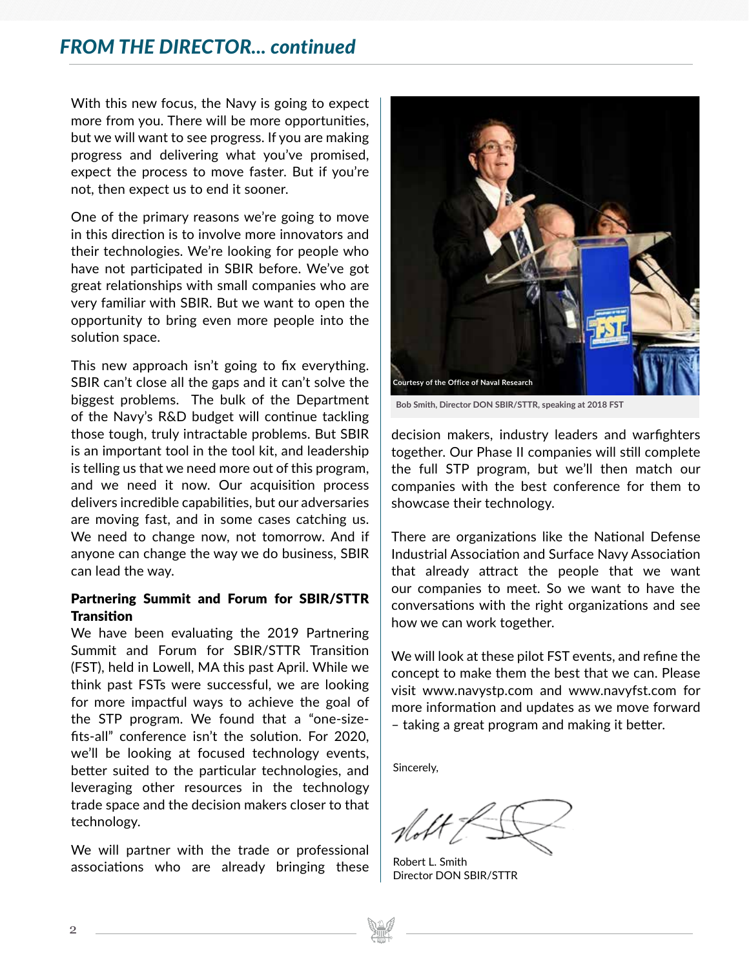### *FROM THE DIRECTOR... continued*

With this new focus, the Navy is going to expect more from you. There will be more opportunities, but we will want to see progress. If you are making progress and delivering what you've promised, expect the process to move faster. But if you're not, then expect us to end it sooner.

One of the primary reasons we're going to move in this direction is to involve more innovators and their technologies. We're looking for people who have not participated in SBIR before. We've got great relationships with small companies who are very familiar with SBIR. But we want to open the opportunity to bring even more people into the solution space.

This new approach isn't going to fix everything. SBIR can't close all the gaps and it can't solve the biggest problems. The bulk of the Department of the Navy's R&D budget will continue tackling those tough, truly intractable problems. But SBIR is an important tool in the tool kit, and leadership is telling us that we need more out of this program, and we need it now. Our acquisition process delivers incredible capabilities, but our adversaries are moving fast, and in some cases catching us. We need to change now, not tomorrow. And if anyone can change the way we do business, SBIR can lead the way.

### Partnering Summit and Forum for SBIR/STTR **Transition**

We have been evaluating the 2019 Partnering Summit and Forum for SBIR/STTR Transition (FST), held in Lowell, MA this past April. While we think past FSTs were successful, we are looking for more impactful ways to achieve the goal of the STP program. We found that a "one-sizefits-all" conference isn't the solution. For 2020, we'll be looking at focused technology events, better suited to the particular technologies, and leveraging other resources in the technology trade space and the decision makers closer to that technology.

We will partner with the trade or professional associations who are already bringing these



**Bob Smith, Director DON SBIR/STTR, speaking at 2018 FST**

decision makers, industry leaders and warfighters together. Our Phase II companies will still complete the full STP program, but we'll then match our companies with the best conference for them to showcase their technology.

There are organizations like the National Defense Industrial Association and Surface Navy Association that already attract the people that we want our companies to meet. So we want to have the conversations with the right organizations and see how we can work together.

We will look at these pilot FST events, and refine the concept to make them the best that we can. Please visit www.navystp.com and www.navyfst.com for more information and updates as we move forward – taking a great program and making it better.

Sincerely,

Robert L. Smith Director DON SBIR/STTR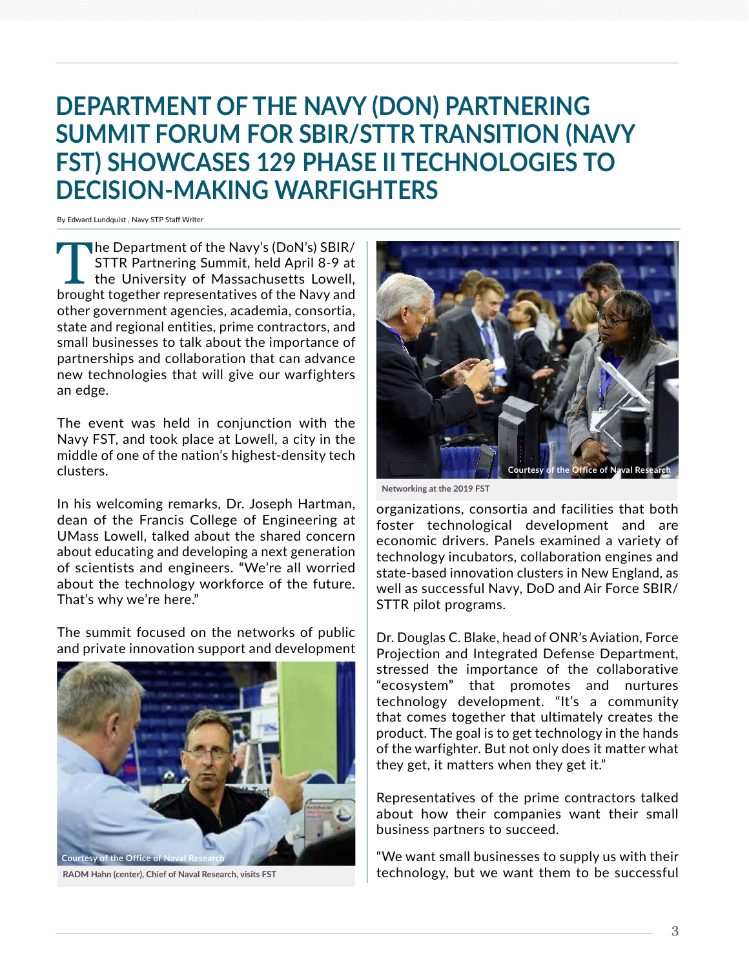# **DEPARTMENT OF THE NAVY (DON) PARTNERING SUMMIT FORUM FOR SBIR/STTR TRANSITION (NAVY FST) SHOWCASES 129 PHASE II TECHNOLOGIES TO DECISION-MAKING WARFIGHTERS**

By Edward Lundquist , Navy STP Staff Writer

The Department of the Navy's (DoN's) SBIR/ STTR Partnering Summit, held April 8-9 at the University of Massachusetts Lowell, brought together representatives of the Navy and other government agencies, academia, consortia, state and regional entities, prime contractors, and small businesses to talk about the importance of partnerships and collaboration that can advance new technologies that will give our warfighters an edge.

The event was held in conjunction with the Navy FST, and took place at Lowell, a city in the middle of one of the nation's highest-density tech clusters.

In his welcoming remarks, Dr. Joseph Hartman, dean of the Francis College of Engineering at UMass Lowell, talked about the shared concern about educating and developing a next generation of scientists and engineers. "We're all worried about the technology workforce of the future. That's why we're here."

The summit focused on the networks of public and private innovation support and development



**RADM Hahn (center), Chief of Naval Research, visits FST**



**Networking at the 2019 FST**

organizations, consortia and facilities that both foster technological development and are economic drivers. Panels examined a variety of technology incubators, collaboration engines and state-based innovation clusters in New England, as well as successful Navy, DoD and Air Force SBIR/ STTR pilot programs.

Dr. Douglas C. Blake, head of ONR's Aviation, Force Projection and Integrated Defense Department, stressed the importance of the collaborative "ecosystem" that promotes and nurtures technology development. "It's a community that comes together that ultimately creates the product. The goal is to get technology in the hands of the warfighter. But not only does it matter what they get, it matters when they get it."

Representatives of the prime contractors talked about how their companies want their small business partners to succeed.

"We want small businesses to supply us with their technology, but we want them to be successful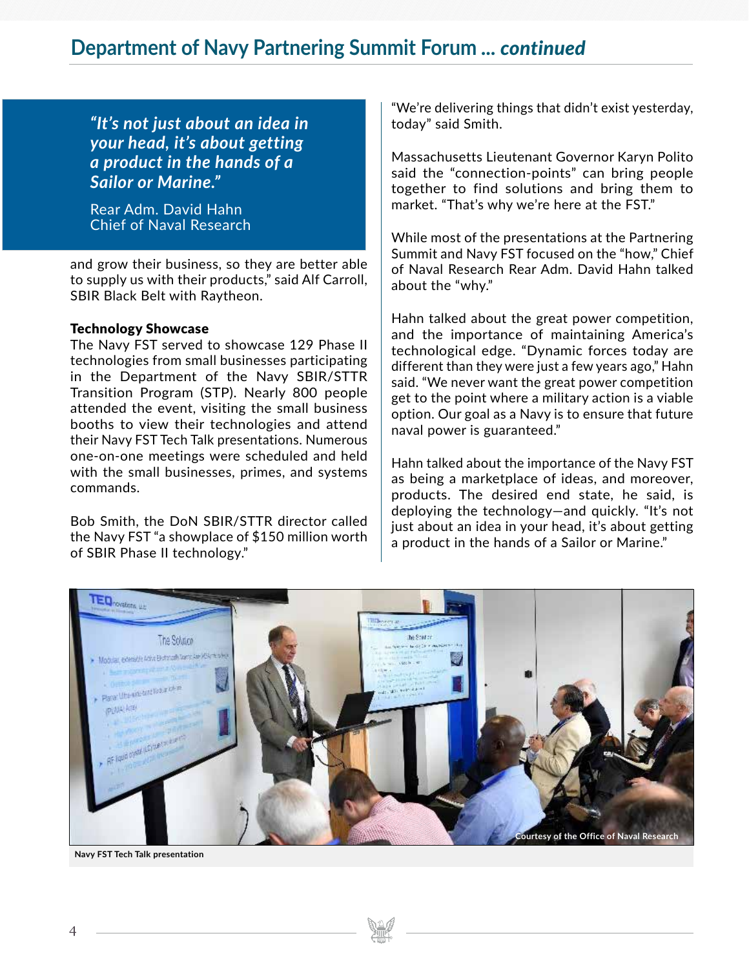*"It's not just about an idea in your head, it's about getting a product in the hands of a Sailor or Marine."*

Rear Adm. David Hahn Chief of Naval Research

and grow their business, so they are better able to supply us with their products," said Alf Carroll, SBIR Black Belt with Raytheon.

#### Technology Showcase

The Navy FST served to showcase 129 Phase II technologies from small businesses participating in the Department of the Navy SBIR/STTR Transition Program (STP). Nearly 800 people attended the event, visiting the small business booths to view their technologies and attend their Navy FST Tech Talk presentations. Numerous one-on-one meetings were scheduled and held with the small businesses, primes, and systems commands.

Bob Smith, the DoN SBIR/STTR director called the Navy FST "a showplace of \$150 million worth of SBIR Phase II technology."

"We're delivering things that didn't exist yesterday, today" said Smith.

Massachusetts Lieutenant Governor Karyn Polito said the "connection-points" can bring people together to find solutions and bring them to market. "That's why we're here at the FST."

While most of the presentations at the Partnering Summit and Navy FST focused on the "how," Chief of Naval Research Rear Adm. David Hahn talked about the "why."

Hahn talked about the great power competition, and the importance of maintaining America's technological edge. "Dynamic forces today are different than they were just a few years ago," Hahn said. "We never want the great power competition get to the point where a military action is a viable option. Our goal as a Navy is to ensure that future naval power is guaranteed."

Hahn talked about the importance of the Navy FST as being a marketplace of ideas, and moreover, products. The desired end state, he said, is deploying the technology—and quickly. "It's not just about an idea in your head, it's about getting a product in the hands of a Sailor or Marine."



**Navy FST Tech Talk presentation**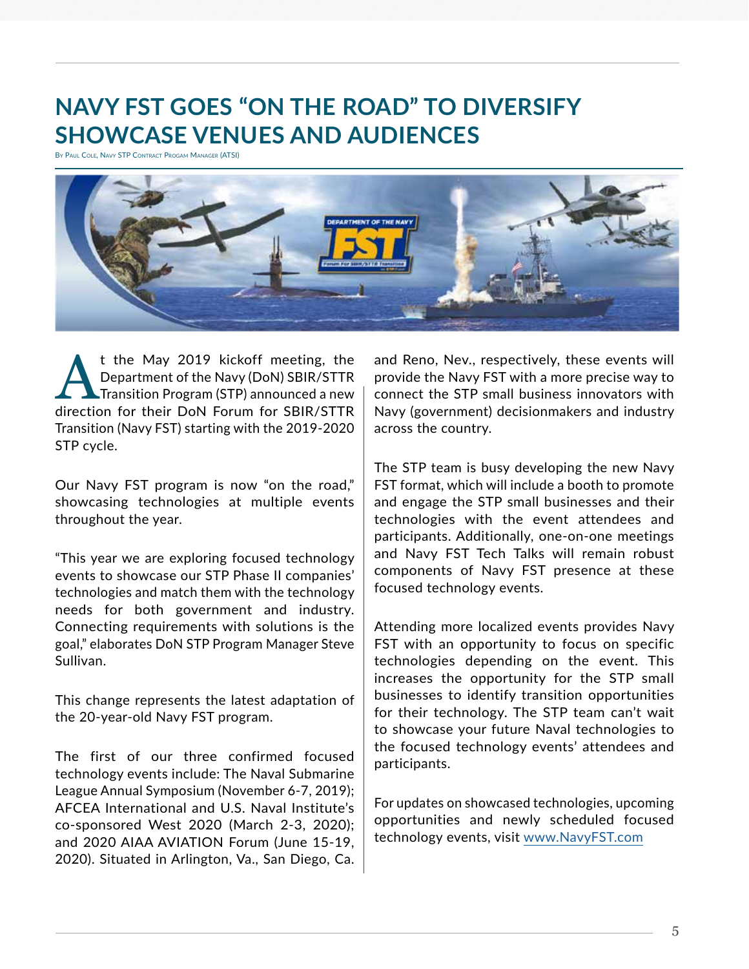## **NAVY FST GOES "ON THE ROAD" TO DIVERSIFY SHOWCASE VENUES AND AUDIENCES**

By Paul Cole, Navy STP Contract Progam Manager (ATSI)



t the May 2019 kickoff meeting, the<br>Department of the Navy (DoN) SBIR/STTR<br>Transition Program (STP) announced a new<br>direction for their DoN Forum for SBIR/STTR Department of the Navy (DoN) SBIR/STTR Transition Program (STP) announced a new direction for their DoN Forum for SBIR/STTR Transition (Navy FST) starting with the 2019-2020 STP cycle.

Our Navy FST program is now "on the road," showcasing technologies at multiple events throughout the year.

"This year we are exploring focused technology events to showcase our STP Phase II companies' technologies and match them with the technology needs for both government and industry. Connecting requirements with solutions is the goal," elaborates DoN STP Program Manager Steve Sullivan.

This change represents the latest adaptation of the 20-year-old Navy FST program.

The first of our three confirmed focused technology events include: The Naval Submarine League Annual Symposium (November 6-7, 2019); AFCEA International and U.S. Naval Institute's co-sponsored West 2020 (March 2-3, 2020); and 2020 AIAA AVIATION Forum (June 15-19, 2020). Situated in Arlington, Va., San Diego, Ca. and Reno, Nev., respectively, these events will provide the Navy FST with a more precise way to connect the STP small business innovators with Navy (government) decisionmakers and industry across the country.

The STP team is busy developing the new Navy FST format, which will include a booth to promote and engage the STP small businesses and their technologies with the event attendees and participants. Additionally, one-on-one meetings and Navy FST Tech Talks will remain robust components of Navy FST presence at these focused technology events.

Attending more localized events provides Navy FST with an opportunity to focus on specific technologies depending on the event. This increases the opportunity for the STP small businesses to identify transition opportunities for their technology. The STP team can't wait to showcase your future Naval technologies to the focused technology events' attendees and participants.

For updates on showcased technologies, upcoming opportunities and newly scheduled focused technology events, visit www.NavyFST.com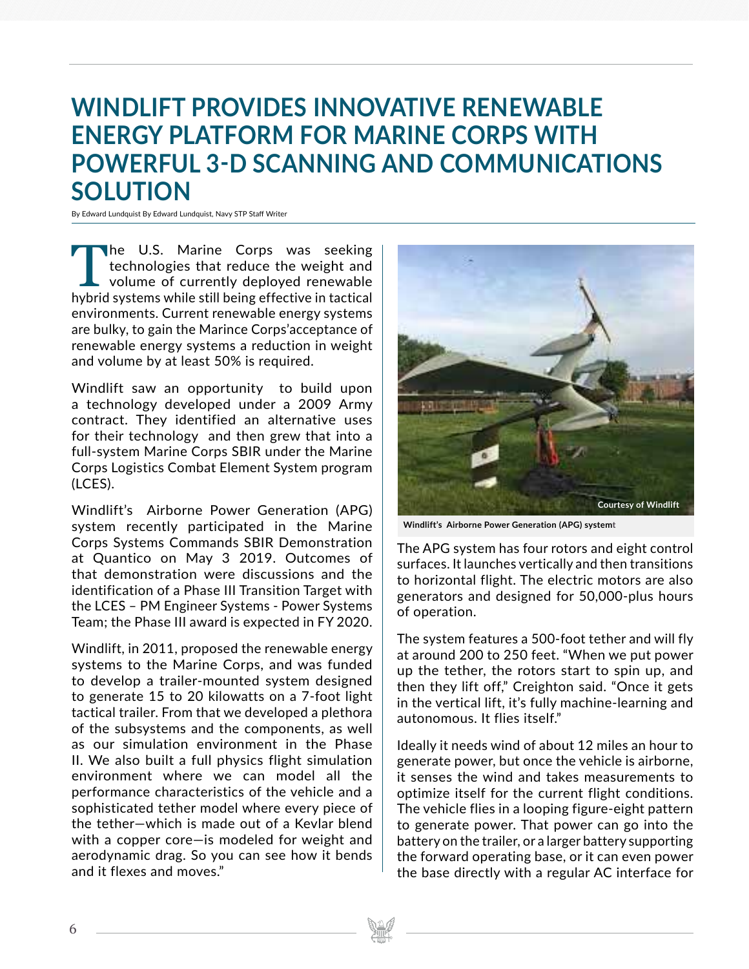# **WINDLIFT PROVIDES INNOVATIVE RENEWABLE ENERGY PLATFORM FOR MARINE CORPS WITH POWERFUL 3-D SCANNING AND COMMUNICATIONS SOLUTION**

By Edward Lundquist By Edward Lundquist, Navy STP Staff Writer

The U.S. Marine Corps was seeking<br>technologies that reduce the weight and<br>volume of currently deployed renewable<br>hybrid systems while still being effective in tactical technologies that reduce the weight and volume of currently deployed renewable hybrid systems while still being effective in tactical environments. Current renewable energy systems are bulky, to gain the Marince Corps'acceptance of renewable energy systems a reduction in weight and volume by at least 50% is required.

Windlift saw an opportunity to build upon a technology developed under a 2009 Army contract. They identified an alternative uses for their technology and then grew that into a full-system Marine Corps SBIR under the Marine Corps Logistics Combat Element System program (LCES).

Windlift's Airborne Power Generation (APG) system recently participated in the Marine Corps Systems Commands SBIR Demonstration at Quantico on May 3 2019. Outcomes of that demonstration were discussions and the identification of a Phase III Transition Target with the LCES – PM Engineer Systems - Power Systems Team; the Phase III award is expected in FY 2020.

Windlift, in 2011, proposed the renewable energy systems to the Marine Corps, and was funded to develop a trailer-mounted system designed to generate 15 to 20 kilowatts on a 7-foot light tactical trailer. From that we developed a plethora of the subsystems and the components, as well as our simulation environment in the Phase II. We also built a full physics flight simulation environment where we can model all the performance characteristics of the vehicle and a sophisticated tether model where every piece of the tether—which is made out of a Kevlar blend with a copper core—is modeled for weight and aerodynamic drag. So you can see how it bends and it flexes and moves."



**Windlift's Airborne Power Generation (APG) systemt**

The APG system has four rotors and eight control surfaces. It launches vertically and then transitions to horizontal flight. The electric motors are also generators and designed for 50,000-plus hours of operation.

The system features a 500-foot tether and will fly at around 200 to 250 feet. "When we put power up the tether, the rotors start to spin up, and then they lift off," Creighton said. "Once it gets in the vertical lift, it's fully machine-learning and autonomous. It flies itself."

Ideally it needs wind of about 12 miles an hour to generate power, but once the vehicle is airborne, it senses the wind and takes measurements to optimize itself for the current flight conditions. The vehicle flies in a looping figure-eight pattern to generate power. That power can go into the battery on the trailer, or a larger battery supporting the forward operating base, or it can even power the base directly with a regular AC interface for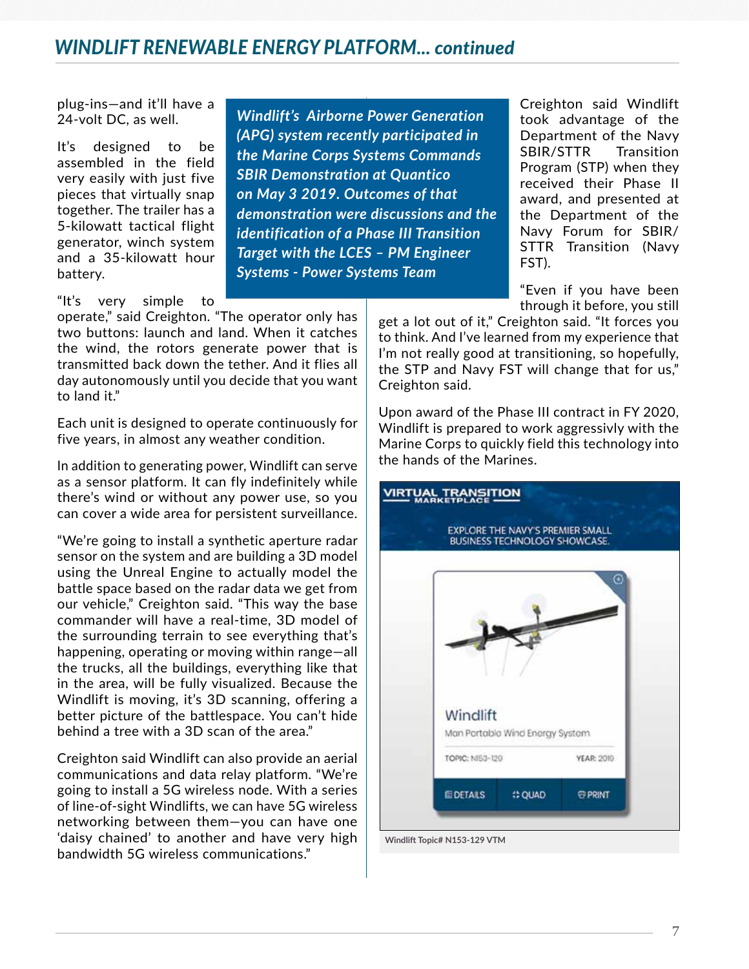## *WINDLIFT RENEWABLE ENERGY PLATFORM... continued*

plug-ins—and it'll have a 24-volt DC, as well.

It's designed to be assembled in the field very easily with just five pieces that virtually snap together. The trailer has a 5-kilowatt tactical flight generator, winch system and a 35-kilowatt hour battery.

*Windlift's Airborne Power Generation (APG) system recently participated in the Marine Corps Systems Commands SBIR Demonstration at Quantico on May 3 2019. Outcomes of that demonstration were discussions and the identification of a Phase III Transition Target with the LCES – PM Engineer Systems - Power Systems Team*

"It's very simple to

operate," said Creighton. "The operator only has two buttons: launch and land. When it catches the wind, the rotors generate power that is transmitted back down the tether. And it flies all day autonomously until you decide that you want to land it."

Each unit is designed to operate continuously for five years, in almost any weather condition.

In addition to generating power, Windlift can serve as a sensor platform. It can fly indefinitely while there's wind or without any power use, so you can cover a wide area for persistent surveillance.

"We're going to install a synthetic aperture radar sensor on the system and are building a 3D model using the Unreal Engine to actually model the battle space based on the radar data we get from our vehicle," Creighton said. "This way the base commander will have a real-time, 3D model of the surrounding terrain to see everything that's happening, operating or moving within range—all the trucks, all the buildings, everything like that in the area, will be fully visualized. Because the Windlift is moving, it's 3D scanning, offering a better picture of the battlespace. You can't hide behind a tree with a 3D scan of the area."

Creighton said Windlift can also provide an aerial communications and data relay platform. "We're going to install a 5G wireless node. With a series of line-of-sight Windlifts, we can have 5G wireless networking between them—you can have one 'daisy chained' to another and have very high bandwidth 5G wireless communications."

Creighton said Windlift took advantage of the Department of the Navy SBIR/STTR Transition Program (STP) when they received their Phase II award, and presented at the Department of the Navy Forum for SBIR/ STTR Transition (Navy FST).

"Even if you have been through it before, you still

get a lot out of it," Creighton said. "It forces you to think. And I've learned from my experience that I'm not really good at transitioning, so hopefully, the STP and Navy FST will change that for us," Creighton said.

Upon award of the Phase III contract in FY 2020, Windlift is prepared to work aggressivly with the Marine Corps to quickly field this technology into the hands of the Marines.



**Windlift Topic# N153-129 VTM**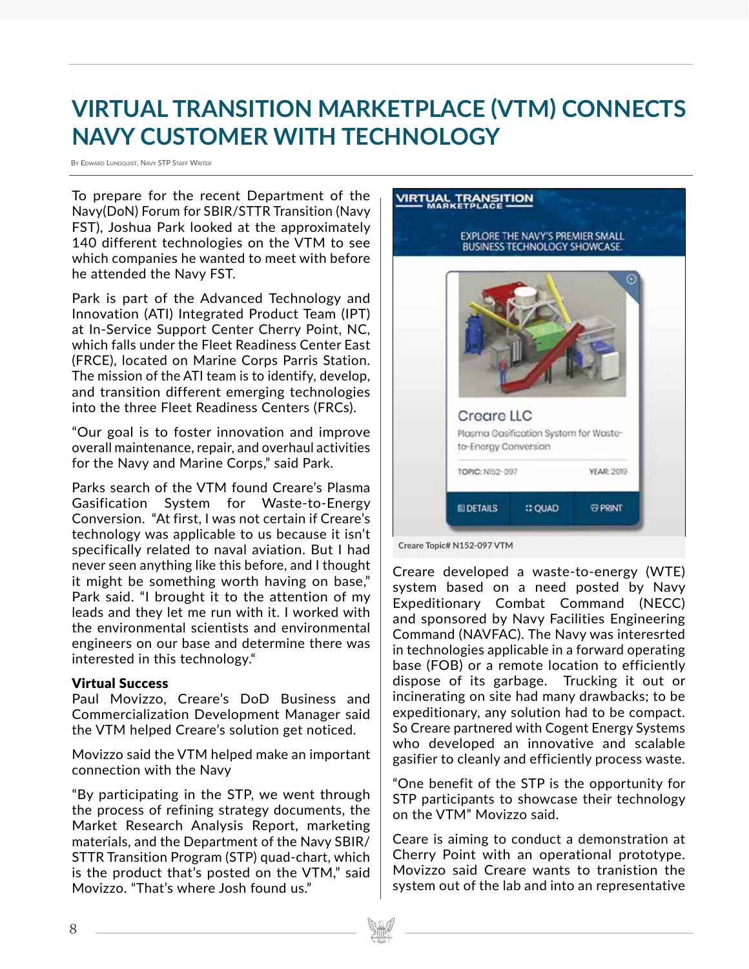# **VIRTUAL TRANSITION MARKETPLACE (VTM) CONNECTS NAVY CUSTOMER WITH TECHNOLOGY**

By Edward Lundquist, Navy STP Staff Writer

To prepare for the recent Department of the Navy(DoN) Forum for SBIR/STTR Transition (Navy FST), Joshua Park looked at the approximately 140 different technologies on the VTM to see which companies he wanted to meet with before he attended the Navy FST.

Park is part of the Advanced Technology and Innovation (ATI) Integrated Product Team (IPT) at In-Service Support Center Cherry Point, NC, which falls under the Fleet Readiness Center East (FRCE), located on Marine Corps Parris Station. The mission of the ATI team is to identify, develop, and transition different emerging technologies into the three Fleet Readiness Centers (FRCs).

"Our goal is to foster innovation and improve overall maintenance, repair, and overhaul activities for the Navy and Marine Corps," said Park.

Parks search of the VTM found Creare's Plasma Gasification System for Waste-to-Energy Conversion. "At first, I was not certain if Creare's technology was applicable to us because it isn't specifically related to naval aviation. But I had never seen anything like this before, and I thought it might be something worth having on base," Park said. "I brought it to the attention of my leads and they let me run with it. I worked with the environmental scientists and environmental engineers on our base and determine there was interested in this technology."

### Virtual Success

Paul Movizzo, Creare's DoD Business and Commercialization Development Manager said the VTM helped Creare's solution get noticed.

Movizzo said the VTM helped make an important connection with the Navy

"By participating in the STP, we went through the process of refining strategy documents, the Market Research Analysis Report, marketing materials, and the Department of the Navy SBIR/ STTR Transition Program (STP) quad-chart, which is the product that's posted on the VTM," said Movizzo. "That's where Josh found us."

# **VIRTUAL TRANSITION** EXPLORE THE NAVY'S PREMIER SMALL **BUSINESS TECHNOLOGY SHOWCASE. Creare LLC** Plasma Gasification System for Wasteto-Energy Conversion TOPIC: N152-097 **YEAR: 2019 ELDETAILS OUAD G PRINT**

**Creare Topic# N152-097 VTM**

Creare developed a waste-to-energy (WTE) system based on a need posted by Navy Expeditionary Combat Command (NECC) and sponsored by Navy Facilities Engineering Command (NAVFAC). The Navy was interesrted in technologies applicable in a forward operating base (FOB) or a remote location to efficiently dispose of its garbage. Trucking it out or incinerating on site had many drawbacks; to be expeditionary, any solution had to be compact. So Creare partnered with Cogent Energy Systems who developed an innovative and scalable gasifier to cleanly and efficiently process waste.

"One benefit of the STP is the opportunity for STP participants to showcase their technology on the VTM" Movizzo said.

Ceare is aiming to conduct a demonstration at Cherry Point with an operational prototype. Movizzo said Creare wants to tranistion the system out of the lab and into an representative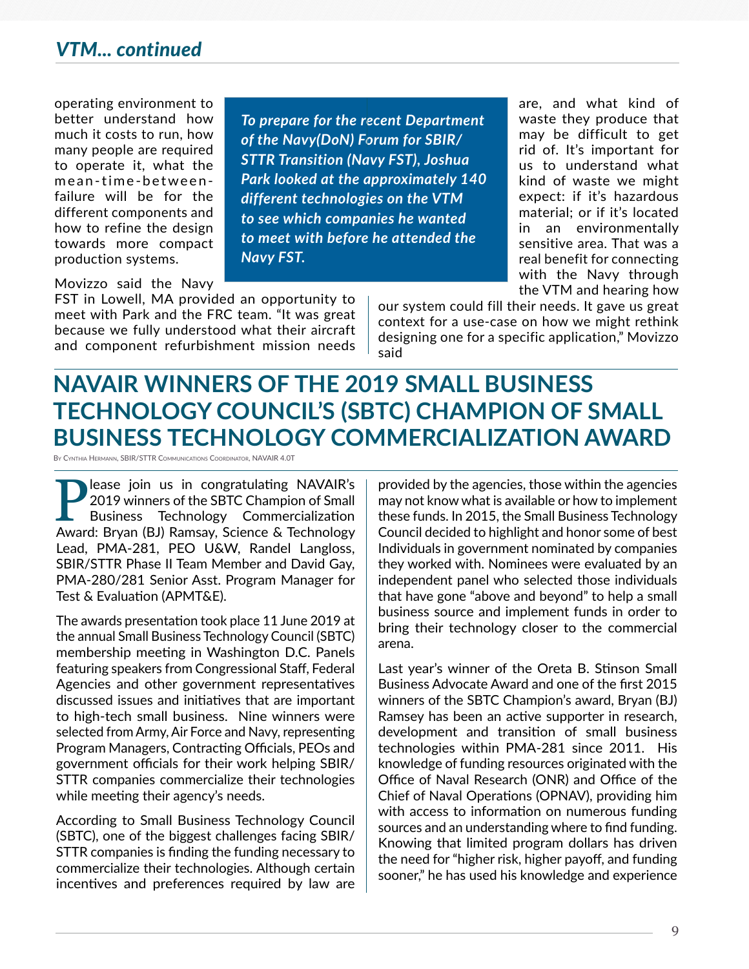### *VTM... continued*

operating environment to better understand how much it costs to run, how many people are required to operate it, what the mean-time-betweenfailure will be for the different components and how to refine the design towards more compact production systems.

*To prepare for the recent Department of the Navy(DoN) Forum for SBIR/ STTR Transition (Navy FST), Joshua Park looked at the approximately 140 different technologies on the VTM to see which companies he wanted to meet with before he attended the Navy FST.*

are, and what kind of waste they produce that may be difficult to get rid of. It's important for us to understand what kind of waste we might expect: if it's hazardous material; or if it's located in an environmentally sensitive area. That was a real benefit for connecting with the Navy through the VTM and hearing how

Movizzo said the Navy

FST in Lowell, MA provided an opportunity to meet with Park and the FRC team. "It was great because we fully understood what their aircraft and component refurbishment mission needs

our system could fill their needs. It gave us great context for a use-case on how we might rethink designing one for a specific application," Movizzo said

## **NAVAIR WINNERS OF THE 2019 SMALL BUSINESS TECHNOLOGY COUNCIL'S (SBTC) CHAMPION OF SMALL BUSINESS TECHNOLOGY COMMERCIALIZATION AWARD**

By Cynthia Hermann, SBIR/STTR Communications Coordinator, NAVAIR 4.0T

**Please join us in congratulating NAVAIR's**<br>
2019 winners of the SBTC Champion of Small<br>
Business Technology Commercialization<br>
Award: Bryan (BJ) Ramsay Science & Technology 2019 winners of the SBTC Champion of Small Business Technology Commercialization Award: Bryan (BJ) Ramsay, Science & Technology Lead, PMA-281, PEO U&W, Randel Langloss, SBIR/STTR Phase II Team Member and David Gay, PMA-280/281 Senior Asst. Program Manager for Test & Evaluation (APMT&E).

The awards presentation took place 11 June 2019 at the annual Small Business Technology Council (SBTC) membership meeting in Washington D.C. Panels featuring speakers from Congressional Staff, Federal Agencies and other government representatives discussed issues and initiatives that are important to high-tech small business. Nine winners were selected from Army, Air Force and Navy, representing Program Managers, Contracting Officials, PEOs and government officials for their work helping SBIR/ STTR companies commercialize their technologies while meeting their agency's needs.

According to Small Business Technology Council (SBTC), one of the biggest challenges facing SBIR/ STTR companies is finding the funding necessary to commercialize their technologies. Although certain incentives and preferences required by law are provided by the agencies, those within the agencies may not know what is available or how to implement these funds. In 2015, the Small Business Technology Council decided to highlight and honor some of best Individuals in government nominated by companies they worked with. Nominees were evaluated by an independent panel who selected those individuals that have gone "above and beyond" to help a small business source and implement funds in order to bring their technology closer to the commercial arena.

Last year's winner of the Oreta B. Stinson Small Business Advocate Award and one of the first 2015 winners of the SBTC Champion's award, Bryan (BJ) Ramsey has been an active supporter in research, development and transition of small business technologies within PMA-281 since 2011. His knowledge of funding resources originated with the Office of Naval Research (ONR) and Office of the Chief of Naval Operations (OPNAV), providing him with access to information on numerous funding sources and an understanding where to find funding. Knowing that limited program dollars has driven the need for "higher risk, higher payoff, and funding sooner," he has used his knowledge and experience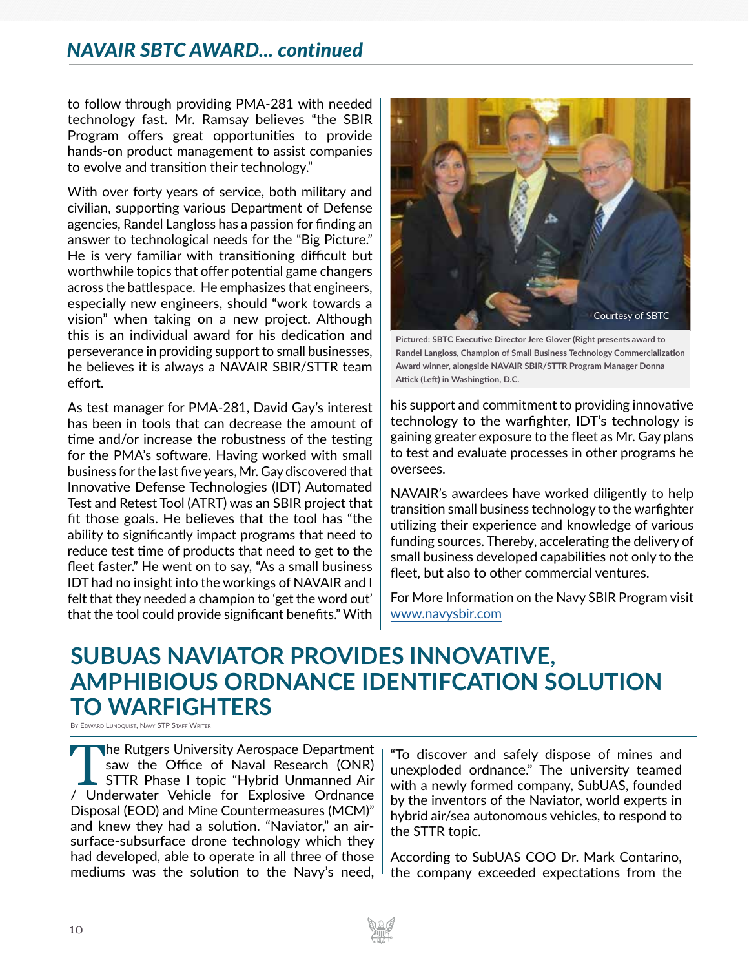### *NAVAIR SBTC AWARD... continued*

to follow through providing PMA-281 with needed technology fast. Mr. Ramsay believes "the SBIR Program offers great opportunities to provide hands-on product management to assist companies to evolve and transition their technology."

With over forty years of service, both military and civilian, supporting various Department of Defense agencies, Randel Langloss has a passion for finding an answer to technological needs for the "Big Picture." He is very familiar with transitioning difficult but worthwhile topics that offer potential game changers across the battlespace. He emphasizes that engineers, especially new engineers, should "work towards a vision" when taking on a new project. Although this is an individual award for his dedication and perseverance in providing support to small businesses, he believes it is always a NAVAIR SBIR/STTR team effort.

As test manager for PMA-281, David Gay's interest has been in tools that can decrease the amount of time and/or increase the robustness of the testing for the PMA's software. Having worked with small business for the last five years, Mr. Gay discovered that Innovative Defense Technologies (IDT) Automated Test and Retest Tool (ATRT) was an SBIR project that fit those goals. He believes that the tool has "the ability to significantly impact programs that need to reduce test time of products that need to get to the fleet faster." He went on to say, "As a small business IDT had no insight into the workings of NAVAIR and I felt that they needed a champion to 'get the word out' that the tool could provide significant benefits." With



**Pictured: SBTC Executive Director Jere Glover (Right presents award to Randel Langloss, Champion of Small Business Technology Commercialization Award winner, alongside NAVAIR SBIR/STTR Program Manager Donna Attick (Left) in Washingtion, D.C.** 

his support and commitment to providing innovative technology to the warfighter, IDT's technology is gaining greater exposure to the fleet as Mr. Gay plans to test and evaluate processes in other programs he oversees.

NAVAIR's awardees have worked diligently to help transition small business technology to the warfighter utilizing their experience and knowledge of various funding sources. Thereby, accelerating the delivery of small business developed capabilities not only to the fleet, but also to other commercial ventures.

For More Information on the Navy SBIR Program visit www.navysbir.com

# **SUBUAS NAVIATOR PROVIDES INNOVATIVE, AMPHIBIOUS ORDNANCE IDENTIFCATION SOLUTION TO WARFIGHTERS**

BY EDWARD LUNDQUIST, NAVY STP STAFF WRITER

The Rutgers University Aerospace Department<br>
saw the Office of Naval Research (ONR)<br>
STTR Phase I topic "Hybrid Unmanned Air<br>
/ Underwater Vehicle for Explosive Ordnance saw the Office of Naval Research (ONR) STTR Phase I topic "Hybrid Unmanned Air / Underwater Vehicle for Explosive Ordnance Disposal (EOD) and Mine Countermeasures (MCM)" and knew they had a solution. "Naviator," an airsurface-subsurface drone technology which they had developed, able to operate in all three of those mediums was the solution to the Navy's need,

"To discover and safely dispose of mines and unexploded ordnance." The university teamed with a newly formed company, SubUAS, founded by the inventors of the Naviator, world experts in hybrid air/sea autonomous vehicles, to respond to the STTR topic.

According to SubUAS COO Dr. Mark Contarino, the company exceeded expectations from the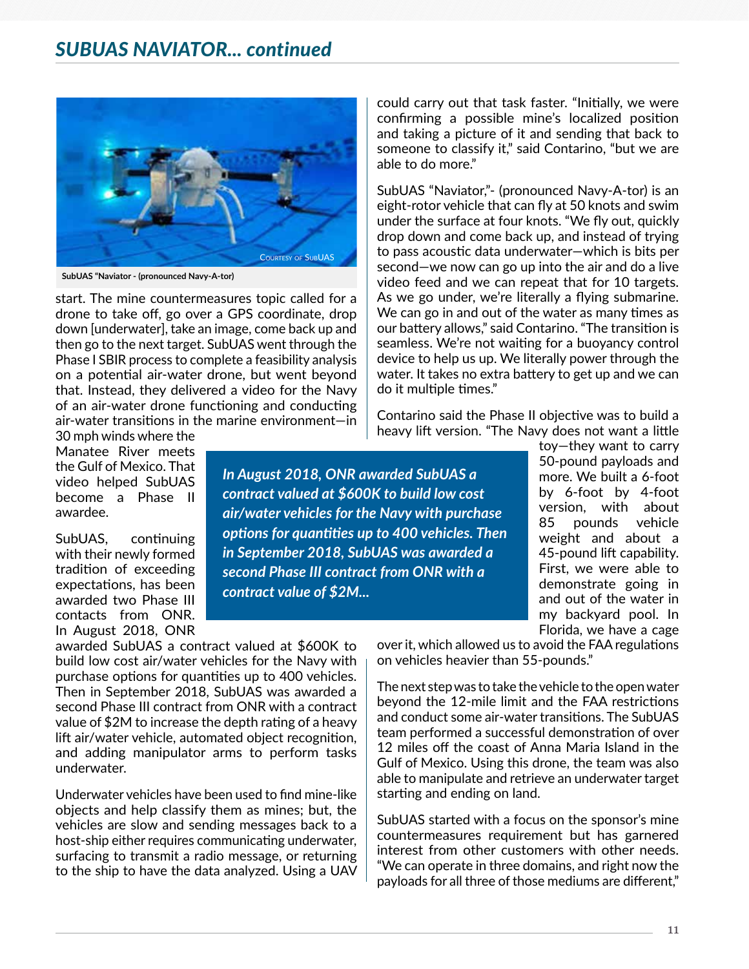

**SubUAS "Naviator - (pronounced Navy-A-tor)**

start. The mine countermeasures topic called for a drone to take off, go over a GPS coordinate, drop down [underwater], take an image, come back up and then go to the next target. SubUAS went through the Phase I SBIR process to complete a feasibility analysis on a potential air-water drone, but went beyond that. Instead, they delivered a video for the Navy of an air-water drone functioning and conducting air-water transitions in the marine environment—in

30 mph winds where the Manatee River meets the Gulf of Mexico. That video helped SubUAS become a Phase II awardee.

SubUAS, continuing with their newly formed tradition of exceeding expectations, has been awarded two Phase III contacts from ONR. In August 2018, ONR

awarded SubUAS a contract valued at \$600K to build low cost air/water vehicles for the Navy with purchase options for quantities up to 400 vehicles. Then in September 2018, SubUAS was awarded a second Phase III contract from ONR with a contract value of \$2M to increase the depth rating of a heavy lift air/water vehicle, automated object recognition, and adding manipulator arms to perform tasks underwater.

Underwater vehicles have been used to find mine-like objects and help classify them as mines; but, the vehicles are slow and sending messages back to a host-ship either requires communicating underwater, surfacing to transmit a radio message, or returning to the ship to have the data analyzed. Using a UAV

could carry out that task faster. "Initially, we were confirming a possible mine's localized position and taking a picture of it and sending that back to someone to classify it," said Contarino, "but we are able to do more."

SubUAS "Naviator,"- (pronounced Navy-A-tor) is an eight-rotor vehicle that can fly at 50 knots and swim under the surface at four knots. "We fly out, quickly drop down and come back up, and instead of trying to pass acoustic data underwater—which is bits per second—we now can go up into the air and do a live video feed and we can repeat that for 10 targets. As we go under, we're literally a flying submarine. We can go in and out of the water as many times as our battery allows," said Contarino. "The transition is seamless. We're not waiting for a buoyancy control device to help us up. We literally power through the water. It takes no extra battery to get up and we can do it multiple times."

Contarino said the Phase II objective was to build a heavy lift version. "The Navy does not want a little

*In August 2018, ONR awarded SubUAS a contract valued at \$600K to build low cost air/water vehicles for the Navy with purchase options for quantities up to 400 vehicles. Then in September 2018, SubUAS was awarded a second Phase III contract from ONR with a contract value of \$2M...* 

toy—they want to carry 50-pound payloads and more. We built a 6-foot by 6-foot by 4-foot version, with about 85 pounds vehicle weight and about a 45-pound lift capability. First, we were able to demonstrate going in and out of the water in my backyard pool. In Florida, we have a cage

over it, which allowed us to avoid the FAA regulations on vehicles heavier than 55-pounds."

The next step was to take the vehicle to the open water beyond the 12-mile limit and the FAA restrictions and conduct some air-water transitions. The SubUAS team performed a successful demonstration of over 12 miles off the coast of Anna Maria Island in the Gulf of Mexico. Using this drone, the team was also able to manipulate and retrieve an underwater target starting and ending on land.

SubUAS started with a focus on the sponsor's mine countermeasures requirement but has garnered interest from other customers with other needs. "We can operate in three domains, and right now the payloads for all three of those mediums are different,"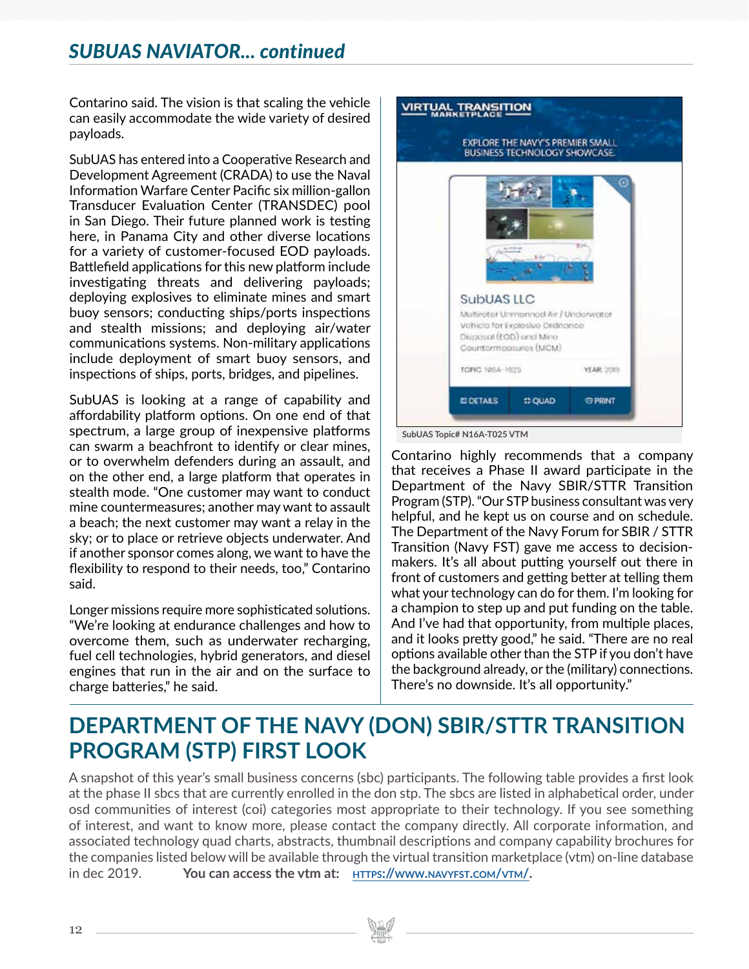## *SUBUAS NAVIATOR... continued*

Contarino said. The vision is that scaling the vehicle can easily accommodate the wide variety of desired payloads.

SubUAS has entered into a Cooperative Research and Development Agreement (CRADA) to use the Naval Information Warfare Center Pacific six million-gallon Transducer Evaluation Center (TRANSDEC) pool in San Diego. Their future planned work is testing here, in Panama City and other diverse locations for a variety of customer-focused EOD payloads. Battlefield applications for this new platform include investigating threats and delivering payloads; deploying explosives to eliminate mines and smart buoy sensors; conducting ships/ports inspections and stealth missions; and deploying air/water communications systems. Non-military applications include deployment of smart buoy sensors, and inspections of ships, ports, bridges, and pipelines.

SubUAS is looking at a range of capability and affordability platform options. On one end of that spectrum, a large group of inexpensive platforms can swarm a beachfront to identify or clear mines, or to overwhelm defenders during an assault, and on the other end, a large platform that operates in stealth mode. "One customer may want to conduct mine countermeasures; another may want to assault a beach; the next customer may want a relay in the sky; or to place or retrieve objects underwater. And if another sponsor comes along, we want to have the flexibility to respond to their needs, too," Contarino said.

Longer missions require more sophisticated solutions. "We're looking at endurance challenges and how to overcome them, such as underwater recharging, fuel cell technologies, hybrid generators, and diesel engines that run in the air and on the surface to charge batteries," he said.



Contarino highly recommends that a company that receives a Phase II award participate in the Department of the Navy SBIR/STTR Transition Program (STP). "Our STP business consultant was very helpful, and he kept us on course and on schedule. The Department of the Navy Forum for SBIR / STTR Transition (Navy FST) gave me access to decisionmakers. It's all about putting yourself out there in front of customers and getting better at telling them what your technology can do for them. I'm looking for a champion to step up and put funding on the table. And I've had that opportunity, from multiple places, and it looks pretty good," he said. "There are no real options available other than the STP if you don't have the background already, or the (military) connections. There's no downside. It's all opportunity."

## **DEPARTMENT OF THE NAVY (DON) SBIR/STTR TRANSITION PROGRAM (STP) FIRST LOOK**

A snapshot of this year's small business concerns (sbc) participants. The following table provides a first look at the phase II sbcs that are currently enrolled in the don stp. The sbcs are listed in alphabetical order, under osd communities of interest (coi) categories most appropriate to their technology. If you see something of interest, and want to know more, please contact the company directly. All corporate information, and associated technology quad charts, abstracts, thumbnail descriptions and company capability brochures for the companies listed below will be available through the virtual transition marketplace (vtm) on-line database in dec 2019. **You can access the vtm at: https://www.navyfst.com/vtm/.**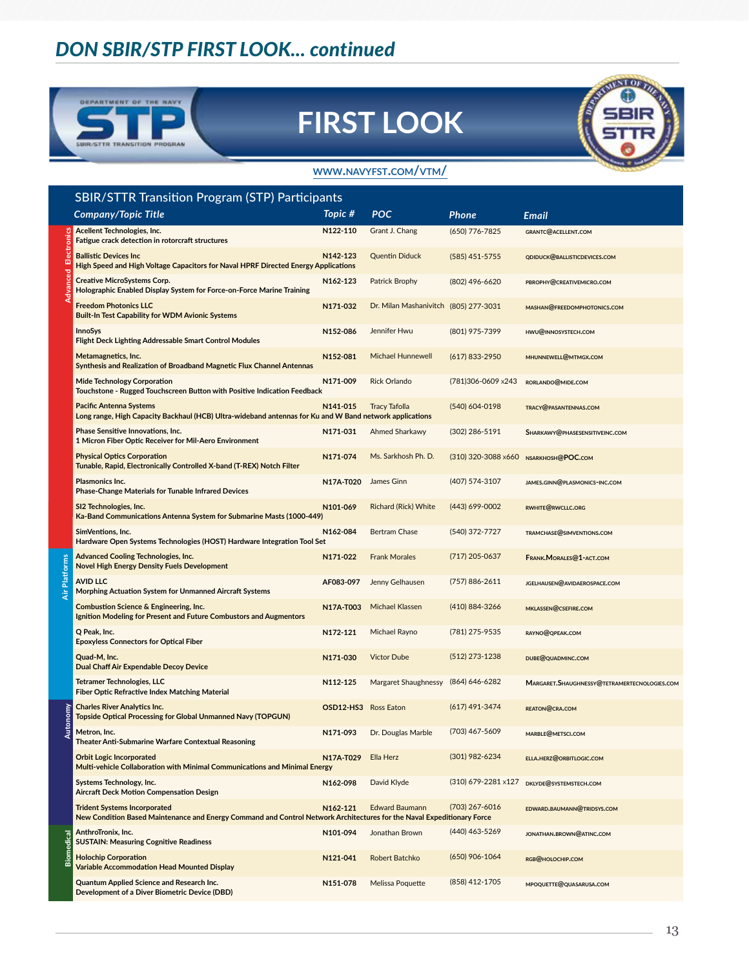## *DON SBIR/STP FIRST LOOK... continued*



# **FIRST LOOK**



#### **www.navyfst.com/vtm/**

|                   | <b>SBIR/STTR Transition Program (STP) Participants</b>                                                                                                        |                      |                                       |                     |                                                      |  |  |
|-------------------|---------------------------------------------------------------------------------------------------------------------------------------------------------------|----------------------|---------------------------------------|---------------------|------------------------------------------------------|--|--|
|                   | <b>Company/Topic Title</b>                                                                                                                                    | Topic #              | <b>POC</b>                            | Phone               | Email                                                |  |  |
| Ľ<br>actropi<br>Ż | Acellent Technologies, Inc.<br>Fatigue crack detection in rotorcraft structures                                                                               | N122-110             | Grant J. Chang                        | (650) 776-7825      | GRANTC@ACELLENT.COM                                  |  |  |
|                   | <b>Ballistic Devices Inc</b><br>High Speed and High Voltage Capacitors for Naval HPRF Directed Energy Applications                                            | N142-123             | <b>Quentin Diduck</b>                 | $(585)$ 451-5755    | QDIDUCK@BALLISTICDEVICES.COM                         |  |  |
|                   | <b>Creative MicroSystems Corp.</b><br>Holographic Enabled Display System for Force-on-Force Marine Training                                                   | N162-123             | Patrick Brophy                        | $(802)$ 496-6620    | PBROPHY@CREATIVEMICRO.COM                            |  |  |
|                   | <b>Freedom Photonics LLC</b><br><b>Built-In Test Capability for WDM Avionic Systems</b>                                                                       | N171-032             | Dr. Milan Mashanivitch (805) 277-3031 |                     | MASHAN@FREEDOMPHOTONICS.COM                          |  |  |
|                   | <b>InnoSys</b><br><b>Flight Deck Lighting Addressable Smart Control Modules</b>                                                                               | N152-086             | Jennifer Hwu                          | (801) 975-7399      | HWU@INNOSYSTECH.COM                                  |  |  |
|                   | Metamagnetics, Inc.<br>Synthesis and Realization of Broadband Magnetic Flux Channel Antennas                                                                  | N152-081             | <b>Michael Hunnewell</b>              | $(617)$ 833-2950    | MHUNNEWELL@MTMGX.COM                                 |  |  |
|                   | <b>Mide Technology Corporation</b><br>Touchstone - Rugged Touchscreen Button with Positive Indication Feedback                                                | N171-009             | <b>Rick Orlando</b>                   | (781)306-0609 x243  | RORLANDO@MIDE.COM                                    |  |  |
|                   | <b>Pacific Antenna Systems</b><br>Long range, High Capacity Backhaul (HCB) Ultra-wideband antennas for Ku and W Band network applications                     | N141-015             | Tracy Tafolla                         | (540) 604-0198      | TRACY@PASANTENNAS.COM                                |  |  |
|                   | Phase Sensitive Innovations, Inc.<br>1 Micron Fiber Optic Receiver for Mil-Aero Environment                                                                   | N171-031             | Ahmed Sharkawy                        | $(302)$ 286-5191    | SHARKAWY@PHASESENSITIVEINC.COM                       |  |  |
|                   | <b>Physical Optics Corporation</b><br>Tunable, Rapid, Electronically Controlled X-band (T-REX) Notch Filter                                                   | N171-074             | Ms. Sarkhosh Ph. D.                   | (310) 320-3088 x660 | NSARKHOSH@POC.COM                                    |  |  |
|                   | Plasmonics Inc.<br><b>Phase-Change Materials for Tunable Infrared Devices</b>                                                                                 | N17A-T020            | James Ginn                            | (407) 574-3107      | JAMES.GINN@PLASMONICS-INC.COM                        |  |  |
|                   | SI2 Technologies, Inc.<br>Ka-Band Communications Antenna System for Submarine Masts (1000-449)                                                                | N101-069             | Richard (Rick) White                  | (443) 699-0002      | <b>RWHITE@RWCLLC.ORG</b>                             |  |  |
|                   | SimVentions, Inc.<br>Hardware Open Systems Technologies (HOST) Hardware Integration Tool Set                                                                  | N162-084             | <b>Bertram Chase</b>                  | (540) 372-7727      | TRAMCHASE@SIMVENTIONS.COM                            |  |  |
|                   | <b>Advanced Cooling Technologies, Inc.</b><br><b>Novel High Energy Density Fuels Development</b>                                                              | N171-022             | <b>Frank Morales</b>                  | $(717)$ 205-0637    | FRANK.MORALES@1-ACT.COM                              |  |  |
| Air Platforms     | <b>AVID LLC</b><br><b>Morphing Actuation System for Unmanned Aircraft Systems</b>                                                                             | AF083-097            | Jenny Gelhausen                       | (757) 886-2611      | JGELHAUSEN@AVIDAEROSPACE.COM                         |  |  |
|                   | Combustion Science & Engineering, Inc.<br>Ignition Modeling for Present and Future Combustors and Augmentors                                                  | N17A-T003            | <b>Michael Klassen</b>                | (410) 884-3266      | MKLASSEN@CSEFIRE.COM                                 |  |  |
|                   | Q Peak, Inc.<br><b>Epoxyless Connectors for Optical Fiber</b>                                                                                                 | N172-121             | Michael Rayno                         | (781) 275-9535      | RAYNO@QPEAK.COM                                      |  |  |
|                   | Quad-M, Inc.<br><b>Dual Chaff Air Expendable Decoy Device</b>                                                                                                 | N171-030             | <b>Victor Dube</b>                    | $(512)$ 273-1238    | DUBE@QUADMINC.COM                                    |  |  |
|                   | <b>Tetramer Technologies, LLC</b><br>Fiber Optic Refractive Index Matching Material                                                                           | N112-125             | Margaret Shaughnessy                  | (864) 646-6282      | <b>MARGARET. SHAUGHNESSY@TETRAMERTECNOLOGIES.COM</b> |  |  |
| Autonomy          | <b>Charles River Analytics Inc.</b><br><b>Topside Optical Processing for Global Unmanned Navy (TOPGUN)</b>                                                    | OSD12-HS3 Ross Eaton |                                       | $(617)$ 491-3474    | REATON@CRA.COM                                       |  |  |
|                   | Metron, Inc.<br>Theater Anti-Submarine Warfare Contextual Reasoning                                                                                           | N171-093             | Dr. Douglas Marble                    | (703) 467-5609      | MARBLE@METSCI.COM                                    |  |  |
|                   | <b>Orbit Logic Incorporated</b><br>Multi-vehicle Collaboration with Minimal Communications and Minimal Energy                                                 | N17A-T029            | Ella Herz                             | (301) 982-6234      | ELLA.HERZ@ORBITLOGIC.COM                             |  |  |
|                   | Systems Technology, Inc.<br><b>Aircraft Deck Motion Compensation Design</b>                                                                                   | N162-098             | David Klyde                           | (310) 679-2281 x127 | DKLYDE@SYSTEMSTECH.COM                               |  |  |
|                   | <b>Trident Systems Incorporated</b><br>New Condition Based Maintenance and Energy Command and Control Network Architectures for the Naval Expeditionary Force | N162-121             | <b>Edward Baumann</b>                 | (703) 267-6016      | EDWARD.BAUMANN@TRIDSYS.COM                           |  |  |
| Biomedical        | AnthroTronix, Inc.<br><b>SUSTAIN: Measuring Cognitive Readiness</b>                                                                                           | N101-094             | Jonathan Brown                        | (440) 463-5269      | JONATHAN.BROWN@ATINC.COM                             |  |  |
|                   | <b>Holochip Corporation</b><br><b>Variable Accommodation Head Mounted Display</b>                                                                             | N121-041             | Robert Batchko                        | (650) 906-1064      | RGB@HOLOCHIP.COM                                     |  |  |
|                   | Quantum Applied Science and Research Inc.<br>Development of a Diver Biometric Device (DBD)                                                                    | N151-078             | Melissa Poquette                      | (858) 412-1705      | MPOQUETTE@QUASARUSA.COM                              |  |  |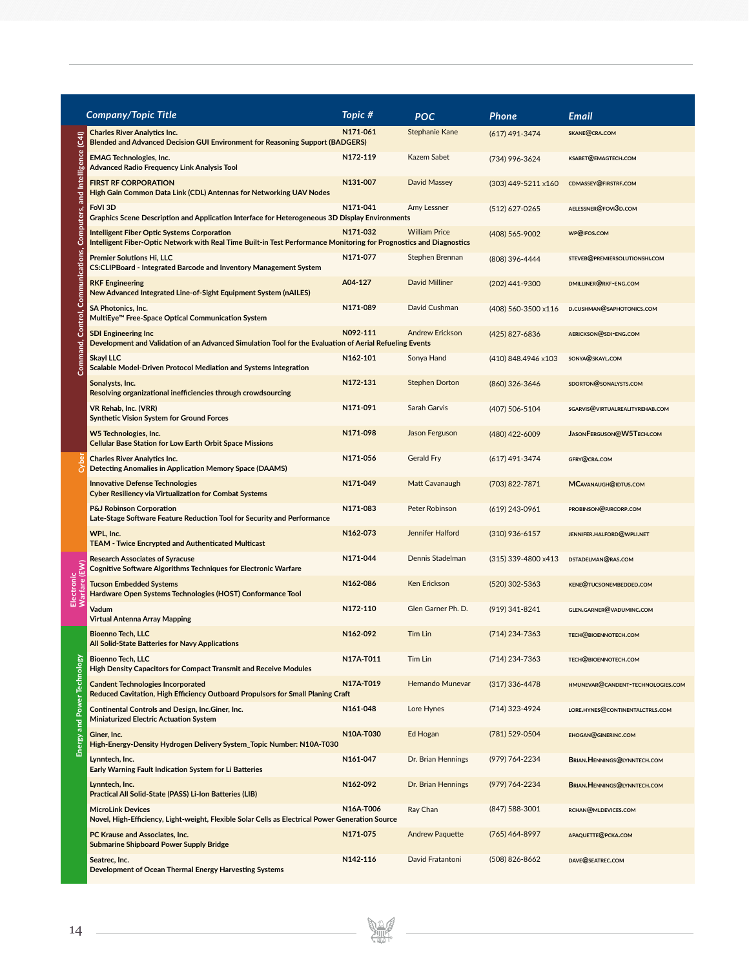|                     | <b>Company/Topic Title</b>                                                                                                                                                | Topic #   | POC                    | <b>Phone</b>        | Email                             |
|---------------------|---------------------------------------------------------------------------------------------------------------------------------------------------------------------------|-----------|------------------------|---------------------|-----------------------------------|
| $\widehat{t}$       | <b>Charles River Analytics Inc.</b><br><b>Blended and Advanced Decision GUI Environment for Reasoning Support (BADGERS)</b>                                               | N171-061  | Stephanie Kane         | (617) 491-3474      | SKANE@CRA.COM                     |
| Intelligence        | <b>EMAG Technologies, Inc.</b><br><b>Advanced Radio Frequency Link Analysis Tool</b>                                                                                      | N172-119  | Kazem Sabet            | (734) 996-3624      | KSABET@EMAGTECH.COM               |
| and                 | <b>FIRST RF CORPORATION</b><br>High Gain Common Data Link (CDL) Antennas for Networking UAV Nodes                                                                         | N131-007  | David Massey           | (303) 449-5211 x160 | CDMASSEY@FIRSTRF.COM              |
|                     | FoVI 3D<br>Graphics Scene Description and Application Interface for Heterogeneous 3D Display Environments                                                                 | N171-041  | Amy Lessner            | (512) 627-0265      | AELESSNER@FOVI3D.COM              |
| Computers.          | <b>Intelligent Fiber Optic Systems Corporation</b><br>Intelligent Fiber-Optic Network with Real Time Built-in Test Performance Monitoring for Prognostics and Diagnostics | N171-032  | <b>William Price</b>   | (408) 565-9002      | WP@IFOS.COM                       |
| <b>Gati</b>         | <b>Premier Solutions Hi, LLC</b><br><b>CS:CLIPBoard - Integrated Barcode and Inventory Management System</b>                                                              | N171-077  | Stephen Brennan        | (808) 396-4444      | STEVEB@PREMIERSOLUTIONSHI.COM     |
|                     | <b>RKF Engineering</b><br>New Advanced Integrated Line-of-Sight Equipment System (nAILES)                                                                                 | A04-127   | <b>David Milliner</b>  | (202) 441-9300      | DMILLINER@RKF-ENG.COM             |
| Ğ<br><b>Control</b> | <b>SA Photonics, Inc.</b><br>MultiEye™ Free-Space Optical Communication System                                                                                            | N171-089  | David Cushman          | (408) 560-3500 x116 | D.CUSHMAN@SAPHOTONICS.COM         |
| Σ                   | <b>SDI Engineering Inc</b><br>Development and Validation of an Advanced Simulation Tool for the Evaluation of Aerial Refueling Events                                     | N092-111  | <b>Andrew Erickson</b> | (425) 827-6836      | AERICKSON@SDI-ENG.COM             |
| Com                 | <b>Skayl LLC</b><br>Scalable Model-Driven Protocol Mediation and Systems Integration                                                                                      | N162-101  | Sonya Hand             | (410) 848.4946 x103 | SONYA@SKAYL.COM                   |
|                     | Sonalysts, Inc.<br>Resolving organizational inefficiencies through crowdsourcing                                                                                          | N172-131  | <b>Stephen Dorton</b>  | (860) 326-3646      | SDORTON@SONALYSTS.COM             |
|                     | VR Rehab, Inc. (VRR)<br><b>Synthetic Vision System for Ground Forces</b>                                                                                                  | N171-091  | Sarah Garvis           | (407) 506-5104      | SGARVIS@VIRTUALREALITYREHAB.COM   |
|                     | W5 Technologies, Inc.<br><b>Cellular Base Station for Low Earth Orbit Space Missions</b>                                                                                  | N171-098  | Jason Ferguson         | (480) 422-6009      | JASON FERGUSON@W5TECH.COM         |
|                     | <b>Charles River Analytics Inc.</b><br><b>Detecting Anomalies in Application Memory Space (DAAMS)</b>                                                                     | N171-056  | <b>Gerald Fry</b>      | $(617)$ 491-3474    | GFRY@CRA.COM                      |
|                     | <b>Innovative Defense Technologies</b><br><b>Cyber Resiliency via Virtualization for Combat Systems</b>                                                                   | N171-049  | Matt Cavanaugh         | (703) 822-7871      | MCAVANAUGH@IDTUS.COM              |
|                     | <b>P&amp;J Robinson Corporation</b><br>Late-Stage Software Feature Reduction Tool for Security and Performance                                                            | N171-083  | Peter Robinson         | $(619)$ 243-0961    | PROBINSON@PJRCORP.COM             |
|                     | WPL, Inc.<br><b>TEAM - Twice Encrypted and Authenticated Multicast</b>                                                                                                    | N162-073  | Jennifer Halford       | $(310)$ 936-6157    | JENNIFER.HALFORD@WPLI.NET         |
|                     | <b>Research Associates of Syracuse</b><br><b>Cognitive Software Algorithms Techniques for Electronic Warfare</b>                                                          | N171-044  | Dennis Stadelman       | (315) 339-4800 x413 | DSTADELMAN@RAS.COM                |
|                     | <b>Tucson Embedded Systems</b><br>Hardware Open Systems Technologies (HOST) Conformance Tool                                                                              | N162-086  | Ken Erickson           | $(520)$ 302-5363    | KENE@TUCSONEMBEDDED.COM           |
|                     | Vadum<br><b>Virtual Antenna Array Mapping</b>                                                                                                                             | N172-110  | Glen Garner Ph. D.     | (919) 341-8241      | GLEN.GARNER@VADUMINC.COM          |
|                     | <b>Bioenno Tech, LLC</b><br>All Solid-State Batteries for Navy Applications                                                                                               | N162-092  | <b>Tim Lin</b>         | (714) 234-7363      | TECH@BIOENNOTECH.COM              |
|                     | <b>Bioenno Tech, LLC</b><br><b>High Density Capacitors for Compact Transmit and Receive Modules</b>                                                                       | N17A-T011 | Tim Lin                | (714) 234-7363      | TECH@BIOENNOTECH.COM              |
| Power Technology    | <b>Candent Technologies Incorporated</b><br>Reduced Cavitation, High Efficiency Outboard Propulsors for Small Planing Craft                                               | N17A-T019 | Hernando Munevar       | $(317)$ 336-4478    | HMUNEVAR@CANDENT-TECHNOLOGIES.COM |
| E                   | Continental Controls and Design, Inc.Giner, Inc.<br><b>Miniaturized Electric Actuation System</b>                                                                         | N161-048  | Lore Hynes             | (714) 323-4924      | LORE.HYNES@CONTINENTALCTRLS.COM   |
| Energy              | Giner, Inc.<br>High-Energy-Density Hydrogen Delivery System_Topic Number: N10A-T030                                                                                       | N10A-T030 | Ed Hogan               | (781) 529-0504      | <b>EHOGAN@GINERINC.COM</b>        |
|                     | Lynntech, Inc.<br>Early Warning Fault Indication System for Li Batteries                                                                                                  | N161-047  | Dr. Brian Hennings     | (979) 764-2234      | BRIAN.HENNINGS@LYNNTECH.COM       |
|                     | Lynntech, Inc.<br>Practical All Solid-State (PASS) Li-Ion Batteries (LIB)                                                                                                 | N162-092  | Dr. Brian Hennings     | (979) 764-2234      | BRIAN.HENNINGS@LYNNTECH.COM       |
|                     | <b>MicroLink Devices</b><br>Novel, High-Efficiency, Light-weight, Flexible Solar Cells as Electrical Power Generation Source                                              | N16A-T006 | Ray Chan               | (847) 588-3001      | RCHAN@MLDEVICES.COM               |
|                     | PC Krause and Associates, Inc.<br><b>Submarine Shipboard Power Supply Bridge</b>                                                                                          | N171-075  | <b>Andrew Paquette</b> | (765) 464-8997      | APAQUETTE@PCKA.COM                |
|                     | Seatrec, Inc.<br>Development of Ocean Thermal Energy Harvesting Systems                                                                                                   | N142-116  | David Fratantoni       | (508) 826-8662      | DAVE@SEATREC.COM                  |

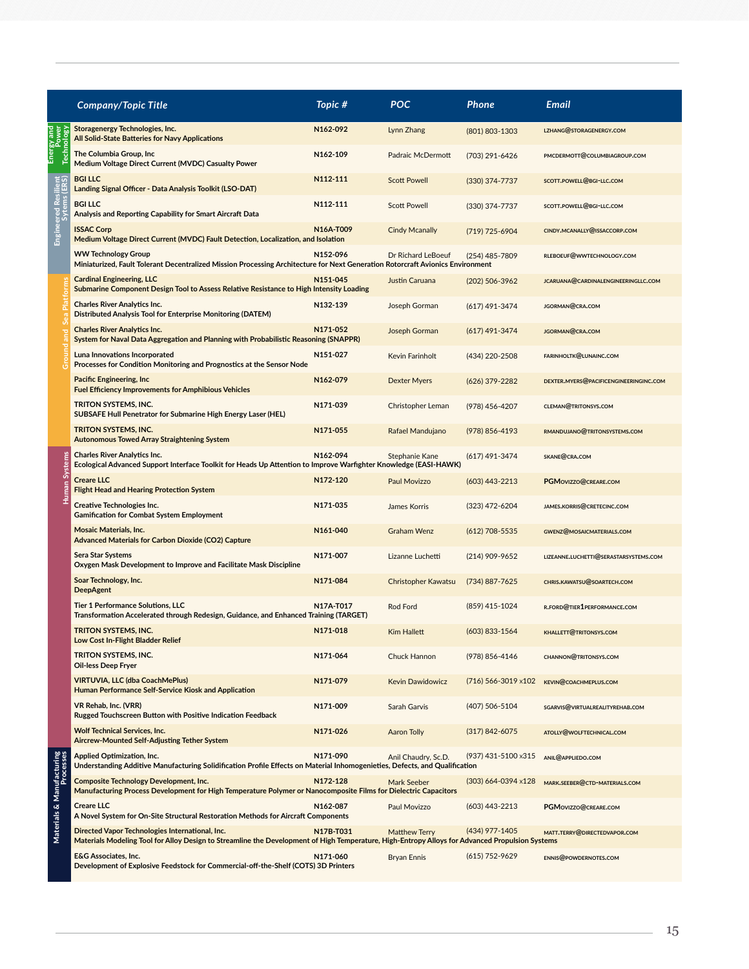|                                        | <b>Company/Topic Title</b>                                                                                                                                                                         | Topic #   | <b>POC</b>              | Phone                         | <b>Email</b>                           |
|----------------------------------------|----------------------------------------------------------------------------------------------------------------------------------------------------------------------------------------------------|-----------|-------------------------|-------------------------------|----------------------------------------|
|                                        | Storagenergy Technologies, Inc.<br>All Solid-State Batteries for Navy Applications                                                                                                                 | N162-092  | Lynn Zhang              | (801) 803-1303                | LZHANG@STORAGENERGY.COM                |
|                                        | The Columbia Group, Inc<br>Medium Voltage Direct Current (MVDC) Casualty Power                                                                                                                     | N162-109  | Padraic McDermott       | (703) 291-6426                | PMCDERMOTT@COLUMBIAGROUP.COM           |
|                                        | <b>BGI LLC</b><br>Landing Signal Officer - Data Analysis Toolkit (LSO-DAT)                                                                                                                         | N112-111  | <b>Scott Powell</b>     | (330) 374-7737                | SCOTT.POWELL@BGI-LLC.COM               |
|                                        | <b>BGI LLC</b><br>Analysis and Reporting Capability for Smart Aircraft Data                                                                                                                        | N112-111  | <b>Scott Powell</b>     | (330) 374-7737                | SCOTT.POWELL@BGI-LLC.COM               |
|                                        | <b>ISSAC Corp</b><br>Medium Voltage Direct Current (MVDC) Fault Detection, Localization, and Isolation                                                                                             | N16A-T009 | <b>Cindy Mcanally</b>   | (719) 725-6904                | CINDY.MCANALLY@ISSACCORP.COM           |
|                                        | <b>WW Technology Group</b><br>Miniaturized, Fault Tolerant Decentralized Mission Processing Architecture for Next Generation Rotorcraft Avionics Environment                                       | N152-096  | Dr Richard LeBoeuf      | (254) 485-7809                | RLEBOEUF@WWTECHNOLOGY.COM              |
|                                        | <b>Cardinal Engineering, LLC</b><br>Submarine Component Design Tool to Assess Relative Resistance to High Intensity Loading                                                                        | N151-045  | Justin Caruana          | (202) 506-3962                | JCARUANA@CARDINALENGINEERINGLLC.COM    |
|                                        | <b>Charles River Analytics Inc.</b><br><b>Distributed Analysis Tool for Enterprise Monitoring (DATEM)</b>                                                                                          | N132-139  | Joseph Gorman           | (617) 491-3474                | JGORMAN@CRA.COM                        |
|                                        | <b>Charles River Analytics Inc.</b><br>System for Naval Data Aggregation and Planning with Probabilistic Reasoning (SNAPPR)                                                                        | N171-052  | Joseph Gorman           | (617) 491-3474                | JGORMAN@CRA.COM                        |
|                                        | Luna Innovations Incorporated<br>Processes for Condition Monitoring and Prognostics at the Sensor Node                                                                                             | N151-027  | Kevin Farinholt         | (434) 220-2508                | FARINHOLTK@LUNAINC.COM                 |
|                                        | Pacific Engineering, Inc<br><b>Fuel Efficiency Improvements for Amphibious Vehicles</b>                                                                                                            | N162-079  | Dexter Myers            | (626) 379-2282                | DEXTER.MYERS@PACIFICENGINEERINGINC.COM |
|                                        | <b>TRITON SYSTEMS, INC.</b><br>SUBSAFE Hull Penetrator for Submarine High Energy Laser (HEL)                                                                                                       | N171-039  | Christopher Leman       | (978) 456-4207                | <b>CLEMAN@TRITONSYS.COM</b>            |
|                                        | <b>TRITON SYSTEMS, INC.</b><br><b>Autonomous Towed Array Straightening System</b>                                                                                                                  | N171-055  | Rafael Mandujano        | (978) 856-4193                | RMANDUJANO@TRITONSYSTEMS.COM           |
|                                        | <b>Charles River Analytics Inc.</b><br>Ecological Advanced Support Interface Toolkit for Heads Up Attention to Improve Warfighter Knowledge (EASI-HAWK)                                            | N162-094  | Stephanie Kane          | (617) 491-3474                | SKANE@CRA.COM                          |
|                                        | <b>Creare LLC</b><br><b>Flight Head and Hearing Protection System</b>                                                                                                                              | N172-120  | Paul Movizzo            | $(603)$ 443-2213              | PGMOVIZZO@CREARE.COM                   |
|                                        | <b>Creative Technologies Inc.</b><br><b>Gamification for Combat System Employment</b>                                                                                                              | N171-035  | James Korris            | (323) 472-6204                | JAMES.KORRIS@CRETECINC.COM             |
|                                        | <b>Mosaic Materials, Inc.</b><br><b>Advanced Materials for Carbon Dioxide (CO2) Capture</b>                                                                                                        | N161-040  | <b>Graham Wenz</b>      | $(612) 708 - 5535$            | GWENZ@MOSAICMATERIALS.COM              |
|                                        | <b>Sera Star Systems</b><br>Oxygen Mask Development to Improve and Facilitate Mask Discipline                                                                                                      | N171-007  | Lizanne Luchetti        | (214) 909-9652                | LIZEANNE.LUCHETTI@SERASTARSYSTEMS.COM  |
|                                        | Soar Technology, Inc.<br><b>DeepAgent</b>                                                                                                                                                          | N171-084  | Christopher Kawatsu     | (734) 887-7625                | CHRIS.KAWATSU@SOARTECH.COM             |
|                                        | <b>Tier 1 Performance Solutions, LLC</b><br>Transformation Accelerated through Redesign, Guidance, and Enhanced Training (TARGET)                                                                  | N17A-T017 | Rod Ford                | (859) 415-1024                | R.FORD@TIER1PERFORMANCE.COM            |
|                                        | TRITON SYSTEMS, INC.<br>Low Cost In-Flight Bladder Relief                                                                                                                                          | N171-018  | <b>Kim Hallett</b>      | (603) 833-1564                | <b>KHALLETT@TRITONSYS.COM</b>          |
|                                        | TRITON SYSTEMS, INC.<br>Oil-less Deep Fryer                                                                                                                                                        | N171-064  | Chuck Hannon            | (978) 856-4146                | <b>CHANNON@TRITONSYS.COM</b>           |
|                                        | <b>VIRTUVIA, LLC (dba CoachMePlus)</b><br>Human Performance Self-Service Kiosk and Application                                                                                                     | N171-079  | <b>Kevin Dawidowicz</b> | $(716)$ 566-3019 $\times$ 102 | KEVIN@COACHMEPLUS.COM                  |
|                                        | <b>VR Rehab, Inc. (VRR)</b><br>Rugged Touchscreen Button with Positive Indication Feedback                                                                                                         | N171-009  | Sarah Garvis            | (407) 506-5104                | SGARVIS@VIRTUALREALITYREHAB.COM        |
|                                        | <b>Wolf Technical Services, Inc.</b><br>Aircrew-Mounted Self-Adjusting Tether System                                                                                                               | N171-026  | <b>Aaron Tolly</b>      | (317) 842-6075                | ATOLLY@WOLFTECHNICAL.COM               |
|                                        | Applied Optimization, Inc.<br>Understanding Additive Manufacturing Solidification Profile Effects on Material Inhomogenieties, Defects, and Qualification                                          | N171-090  | Anil Chaudry, Sc.D.     | (937) 431-5100 x315           | ANIL@APPLIEDO.COM                      |
|                                        | <b>Composite Technology Development, Inc.</b><br>Manufacturing Process Development for High Temperature Polymer or Nanocomposite Films for Dielectric Capacitors                                   | N172-128  | Mark Seeber             | (303) 664-0394 x128           | MARK.SEEBER@CTD-MATERIALS.COM          |
| Materials & Manufacturing<br>Processes | <b>Creare LLC</b><br>A Novel System for On-Site Structural Restoration Methods for Aircraft Components                                                                                             | N162-087  | Paul Movizzo            | (603) 443-2213                | PGMOVIZZO@CREARE.COM                   |
|                                        | Directed Vapor Technologies International, Inc.<br>Materials Modeling Tool for Alloy Design to Streamline the Development of High Temperature, High-Entropy Alloys for Advanced Propulsion Systems | N17B-T031 | <b>Matthew Terry</b>    | (434) 977-1405                | MATT.TERRY@DIRECTEDVAPOR.COM           |
|                                        | <b>E&amp;G Associates, Inc.</b><br>Development of Explosive Feedstock for Commercial-off-the-Shelf (COTS) 3D Printers                                                                              | N171-060  | <b>Bryan Ennis</b>      | (615) 752-9629                | ENNIS@POWDERNOTES.COM                  |

Energy and Energy and